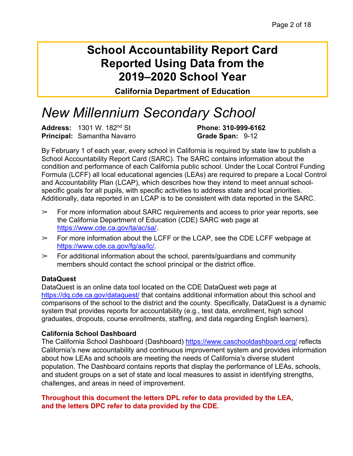## **School Accountability Report Card Reported Using Data from the 2019–2020 School Year**

**California Department of Education**

# *New Millennium Secondary School*

**Address:** 1301 W. 182nd St **Phone: 310-999-6162 Principal:** Samantha Navarro **Grade Span:** 9-12

By February 1 of each year, every school in California is required by state law to publish a School Accountability Report Card (SARC). The SARC contains information about the condition and performance of each California public school. Under the Local Control Funding Formula (LCFF) all local educational agencies (LEAs) are required to prepare a Local Control and Accountability Plan (LCAP), which describes how they intend to meet annual schoolspecific goals for all pupils, with specific activities to address state and local priorities. Additionally, data reported in an LCAP is to be consistent with data reported in the SARC.

- $\geq$  For more information about SARC requirements and access to prior year reports, see the California Department of Education (CDE) SARC web page at https://www.cde.ca.gov/ta/ac/sa/.
- $\triangleright$  For more information about the LCFF or the LCAP, see the CDE LCFF webpage at https://www.cde.ca.gov/fg/aa/lc/.
- $\geq$  For additional information about the school, parents/guardians and community members should contact the school principal or the district office.

#### **DataQuest**

DataQuest is an online data tool located on the CDE DataQuest web page at https://dq.cde.ca.gov/dataquest/ that contains additional information about this school and comparisons of the school to the district and the county. Specifically, DataQuest is a dynamic system that provides reports for accountability (e.g., test data, enrollment, high school graduates, dropouts, course enrollments, staffing, and data regarding English learners).

#### **California School Dashboard**

The California School Dashboard (Dashboard) https://www.caschooldashboard.org/ reflects California's new accountability and continuous improvement system and provides information about how LEAs and schools are meeting the needs of California's diverse student population. The Dashboard contains reports that display the performance of LEAs, schools, and student groups on a set of state and local measures to assist in identifying strengths, challenges, and areas in need of improvement.

#### **Throughout this document the letters DPL refer to data provided by the LEA, and the letters DPC refer to data provided by the CDE.**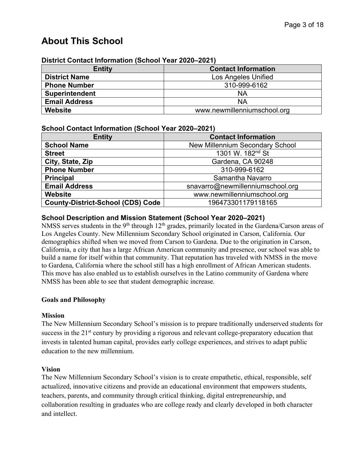## **About This School**

| DISTICL CONTACT INTOINT AUGUST 1980 TEAL ZUZU-ZUZ IT |                            |  |  |  |  |
|------------------------------------------------------|----------------------------|--|--|--|--|
| <b>Entity</b>                                        | <b>Contact Information</b> |  |  |  |  |
| <b>District Name</b>                                 | Los Angeles Unified        |  |  |  |  |
| <b>Phone Number</b>                                  | 310-999-6162               |  |  |  |  |
| <b>Superintendent</b>                                | <b>NA</b>                  |  |  |  |  |
| <b>Email Address</b>                                 | ΝA                         |  |  |  |  |
| Website<br>www.newmillenniumschool.org               |                            |  |  |  |  |

#### **District Contact Information (School Year 2020–2021)**

#### **School Contact Information (School Year 2020–2021)**

| <b>Entity</b>                            | <b>Contact Information</b>             |  |  |  |
|------------------------------------------|----------------------------------------|--|--|--|
| <b>School Name</b>                       | <b>New Millennium Secondary School</b> |  |  |  |
| <b>Street</b>                            | 1301 W. 182nd St                       |  |  |  |
| City, State, Zip                         | Gardena, CA 90248                      |  |  |  |
| <b>Phone Number</b>                      | 310-999-6162                           |  |  |  |
| <b>Principal</b>                         | Samantha Navarro                       |  |  |  |
| <b>Email Address</b>                     | snavarro@newmillenniumschool.org       |  |  |  |
| <b>Website</b>                           | www.newmillenniumschool.org            |  |  |  |
| <b>County-District-School (CDS) Code</b> | 196473301179118165                     |  |  |  |

#### **School Description and Mission Statement (School Year 2020–2021)**

NMSS serves students in the 9<sup>th</sup> through  $12<sup>th</sup>$  grades, primarily located in the Gardena/Carson areas of Los Angeles County. New Millennium Secondary School originated in Carson, California. Our demographics shifted when we moved from Carson to Gardena. Due to the origination in Carson, California, a city that has a large African American community and presence, our school was able to build a name for itself within that community. That reputation has traveled with NMSS in the move to Gardena, California where the school still has a high enrollment of African American students. This move has also enabled us to establish ourselves in the Latino community of Gardena where NMSS has been able to see that student demographic increase.

#### **Goals and Philosophy**

#### **Mission**

The New Millennium Secondary School's mission is to prepare traditionally underserved students for success in the 21<sup>st</sup> century by providing a rigorous and relevant college-preparatory education that invests in talented human capital, provides early college experiences, and strives to adapt public education to the new millennium.

#### **Vision**

The New Millennium Secondary School's vision is to create empathetic, ethical, responsible, self actualized, innovative citizens and provide an educational environment that empowers students, teachers, parents, and community through critical thinking, digital entrepreneurship, and collaboration resulting in graduates who are college ready and clearly developed in both character and intellect.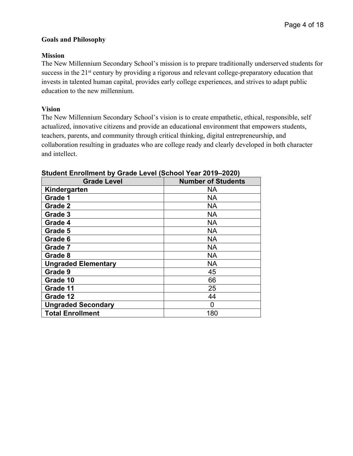#### **Goals and Philosophy**

#### **Mission**

The New Millennium Secondary School's mission is to prepare traditionally underserved students for success in the 21<sup>st</sup> century by providing a rigorous and relevant college-preparatory education that invests in talented human capital, provides early college experiences, and strives to adapt public education to the new millennium.

#### **Vision**

The New Millennium Secondary School's vision is to create empathetic, ethical, responsible, self actualized, innovative citizens and provide an educational environment that empowers students, teachers, parents, and community through critical thinking, digital entrepreneurship, and collaboration resulting in graduates who are college ready and clearly developed in both character and intellect.

| <b>Grade Level</b>         | <b>Number of Students</b> |
|----------------------------|---------------------------|
| Kindergarten               | NА                        |
| Grade 1                    | <b>NA</b>                 |
| Grade 2                    | <b>NA</b>                 |
| Grade 3                    | NА                        |
| Grade 4                    | <b>NA</b>                 |
| Grade 5                    | <b>NA</b>                 |
| Grade 6                    | <b>NA</b>                 |
| Grade 7                    | <b>NA</b>                 |
| Grade 8                    | NА                        |
| <b>Ungraded Elementary</b> | <b>NA</b>                 |
| Grade 9                    | 45                        |
| Grade 10                   | 66                        |
| Grade 11                   | 25                        |
| Grade 12                   | 44                        |
| <b>Ungraded Secondary</b>  | 0                         |
| <b>Total Enrollment</b>    | 180                       |

#### **Student Enrollment by Grade Level (School Year 2019–2020)**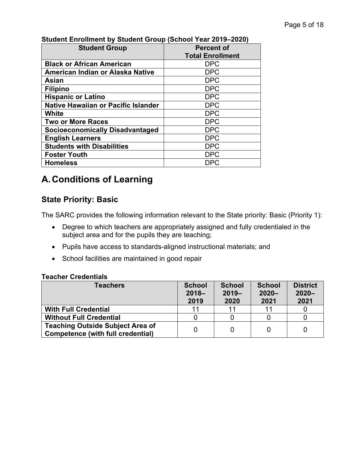| $\sim$<br><b>Student Group</b>             | <b>Percent of</b>       |  |  |  |
|--------------------------------------------|-------------------------|--|--|--|
|                                            | <b>Total Enrollment</b> |  |  |  |
| <b>Black or African American</b>           | <b>DPC</b>              |  |  |  |
| American Indian or Alaska Native           | <b>DPC</b>              |  |  |  |
| Asian                                      | <b>DPC</b>              |  |  |  |
| <b>Filipino</b>                            | <b>DPC</b>              |  |  |  |
| <b>Hispanic or Latino</b>                  | <b>DPC</b>              |  |  |  |
| <b>Native Hawaiian or Pacific Islander</b> | <b>DPC</b>              |  |  |  |
| White                                      | <b>DPC</b>              |  |  |  |
| <b>Two or More Races</b>                   | <b>DPC</b>              |  |  |  |
| <b>Socioeconomically Disadvantaged</b>     | <b>DPC</b>              |  |  |  |
| <b>English Learners</b>                    | <b>DPC</b>              |  |  |  |
| <b>Students with Disabilities</b>          | <b>DPC</b>              |  |  |  |
| <b>Foster Youth</b>                        | <b>DPC</b>              |  |  |  |
| <b>Homeless</b>                            | <b>DPC</b>              |  |  |  |

### **Student Enrollment by Student Group (School Year 2019–2020)**

## **A.Conditions of Learning**

## **State Priority: Basic**

The SARC provides the following information relevant to the State priority: Basic (Priority 1):

- Degree to which teachers are appropriately assigned and fully credentialed in the subject area and for the pupils they are teaching;
- Pupils have access to standards-aligned instructional materials; and
- School facilities are maintained in good repair

#### **Teacher Credentials**

| <b>Teachers</b>                                                                     | <b>School</b><br>$2018 -$<br>2019 | <b>School</b><br>$2019 -$<br>2020 | <b>School</b><br>$2020 -$<br>2021 | <b>District</b><br>$2020 -$<br>2021 |
|-------------------------------------------------------------------------------------|-----------------------------------|-----------------------------------|-----------------------------------|-------------------------------------|
| <b>With Full Credential</b>                                                         | 11                                | 11                                | 11                                |                                     |
| <b>Without Full Credential</b>                                                      |                                   |                                   |                                   |                                     |
| <b>Teaching Outside Subject Area of</b><br><b>Competence (with full credential)</b> |                                   | 0                                 |                                   |                                     |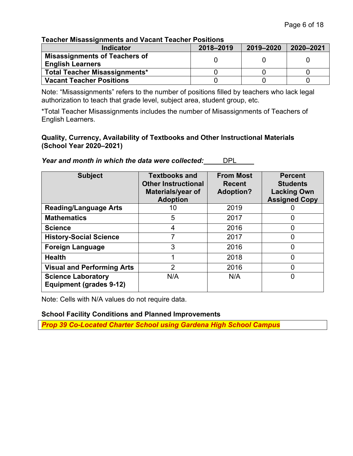#### **Teacher Misassignments and Vacant Teacher Positions**

| <b>Indicator</b>                                                | 2018-2019 | 2019-2020 | 2020-2021 |
|-----------------------------------------------------------------|-----------|-----------|-----------|
| <b>Misassignments of Teachers of</b><br><b>English Learners</b> |           |           |           |
| <b>Total Teacher Misassignments*</b>                            |           |           |           |
| <b>Vacant Teacher Positions</b>                                 |           |           |           |

Note: "Misassignments" refers to the number of positions filled by teachers who lack legal authorization to teach that grade level, subject area, student group, etc.

\*Total Teacher Misassignments includes the number of Misassignments of Teachers of English Learners.

#### **Quality, Currency, Availability of Textbooks and Other Instructional Materials (School Year 2020–2021)**

*Year and month in which the data were collected:* DPL

| <b>Subject</b>                                              | <b>Textbooks and</b><br><b>Other Instructional</b><br>Materials/year of<br><b>Adoption</b> | <b>From Most</b><br><b>Recent</b><br><b>Adoption?</b> | <b>Percent</b><br><b>Students</b><br><b>Lacking Own</b><br><b>Assigned Copy</b> |  |
|-------------------------------------------------------------|--------------------------------------------------------------------------------------------|-------------------------------------------------------|---------------------------------------------------------------------------------|--|
| <b>Reading/Language Arts</b>                                | 10                                                                                         | 2019                                                  |                                                                                 |  |
| <b>Mathematics</b>                                          | 5                                                                                          | 2017                                                  | 0                                                                               |  |
| <b>Science</b>                                              | 4                                                                                          | 2016                                                  | 0                                                                               |  |
| <b>History-Social Science</b>                               | 7                                                                                          | 2017                                                  | $\overline{0}$                                                                  |  |
| <b>Foreign Language</b>                                     | 3                                                                                          | 2016                                                  | 0                                                                               |  |
| <b>Health</b>                                               |                                                                                            | 2018                                                  | $\overline{0}$                                                                  |  |
| <b>Visual and Performing Arts</b>                           | 2                                                                                          | 2016                                                  | 0                                                                               |  |
| <b>Science Laboratory</b><br><b>Equipment (grades 9-12)</b> | N/A                                                                                        | N/A                                                   | 0                                                                               |  |

Note: Cells with N/A values do not require data.

#### **School Facility Conditions and Planned Improvements**

*Prop 39 Co-Located Charter School using Gardena High School Campus*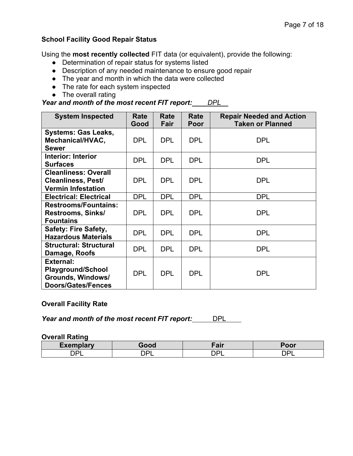#### **School Facility Good Repair Status**

Using the **most recently collected** FIT data (or equivalent), provide the following:

- Determination of repair status for systems listed
- Description of any needed maintenance to ensure good repair
- The year and month in which the data were collected
- The rate for each system inspected
- The overall rating

### *Year and month of the most recent FIT report: DPL*

| <b>System Inspected</b>       | Rate<br>Good | Rate<br>Fair | Rate<br>Poor | <b>Repair Needed and Action</b><br><b>Taken or Planned</b> |  |  |
|-------------------------------|--------------|--------------|--------------|------------------------------------------------------------|--|--|
| <b>Systems: Gas Leaks,</b>    |              |              |              |                                                            |  |  |
| Mechanical/HVAC,              | <b>DPL</b>   | <b>DPL</b>   | <b>DPL</b>   | <b>DPL</b>                                                 |  |  |
| <b>Sewer</b>                  |              |              |              |                                                            |  |  |
| <b>Interior: Interior</b>     |              |              |              |                                                            |  |  |
| <b>Surfaces</b>               | <b>DPL</b>   | <b>DPL</b>   | <b>DPL</b>   | <b>DPL</b>                                                 |  |  |
| <b>Cleanliness: Overall</b>   |              |              |              |                                                            |  |  |
| <b>Cleanliness, Pest/</b>     | <b>DPL</b>   | <b>DPL</b>   | <b>DPL</b>   | <b>DPL</b>                                                 |  |  |
| <b>Vermin Infestation</b>     |              |              |              |                                                            |  |  |
| <b>Electrical: Electrical</b> | <b>DPL</b>   | <b>DPL</b>   | <b>DPL</b>   | <b>DPL</b>                                                 |  |  |
| <b>Restrooms/Fountains:</b>   |              |              |              |                                                            |  |  |
| <b>Restrooms, Sinks/</b>      | <b>DPL</b>   | <b>DPL</b>   | <b>DPL</b>   | DPL                                                        |  |  |
| <b>Fountains</b>              |              |              |              |                                                            |  |  |
| <b>Safety: Fire Safety,</b>   | <b>DPL</b>   | <b>DPL</b>   | <b>DPL</b>   | <b>DPL</b>                                                 |  |  |
| <b>Hazardous Materials</b>    |              |              |              |                                                            |  |  |
| <b>Structural: Structural</b> | <b>DPL</b>   | <b>DPL</b>   | <b>DPL</b>   | <b>DPL</b>                                                 |  |  |
| Damage, Roofs                 |              |              |              |                                                            |  |  |
| <b>External:</b>              |              |              |              |                                                            |  |  |
| <b>Playground/School</b>      | <b>DPL</b>   | <b>DPL</b>   | <b>DPL</b>   | <b>DPL</b>                                                 |  |  |
| Grounds, Windows/             |              |              |              |                                                            |  |  |
| <b>Doors/Gates/Fences</b>     |              |              |              |                                                            |  |  |

#### **Overall Facility Rate**

*Year and month of the most recent FIT report:* DPL

#### **Overall Rating**

| Evamplary                             |           | ---<br>$_{\rm{all}}$ | --- |  |
|---------------------------------------|-----------|----------------------|-----|--|
| $\mathbf{\sim}$ $\mathbf{\sim}$<br>-- | ירה.<br>◡ | . .                  | -   |  |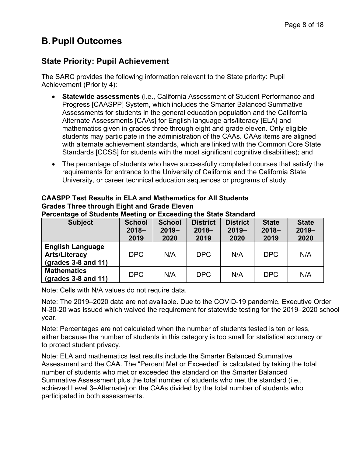## **B.Pupil Outcomes**

## **State Priority: Pupil Achievement**

The SARC provides the following information relevant to the State priority: Pupil Achievement (Priority 4):

- **Statewide assessments** (i.e., California Assessment of Student Performance and Progress [CAASPP] System, which includes the Smarter Balanced Summative Assessments for students in the general education population and the California Alternate Assessments [CAAs] for English language arts/literacy [ELA] and mathematics given in grades three through eight and grade eleven. Only eligible students may participate in the administration of the CAAs. CAAs items are aligned with alternate achievement standards, which are linked with the Common Core State Standards [CCSS] for students with the most significant cognitive disabilities); and
- The percentage of students who have successfully completed courses that satisfy the requirements for entrance to the University of California and the California State University, or career technical education sequences or programs of study.

| <b>CAASPP Test Results in ELA and Mathematics for All Students</b> |
|--------------------------------------------------------------------|
| <b>Grades Three through Eight and Grade Eleven</b>                 |
|                                                                    |

| <b>Subject</b>                                                                 | <b>School</b><br>$2018 -$<br>2019 | <b>School</b><br>$2019 -$<br>2020 | <b>District</b><br>$2018 -$<br>2019 | <b>District</b><br>$2019 -$<br>2020 | <b>State</b><br>$2018 -$<br>2019 | <b>State</b><br>$2019 -$<br>2020 |
|--------------------------------------------------------------------------------|-----------------------------------|-----------------------------------|-------------------------------------|-------------------------------------|----------------------------------|----------------------------------|
| <b>English Language</b><br><b>Arts/Literacy</b><br>$\left($ grades 3-8 and 11) | DPC                               | N/A                               | DPC                                 | N/A                                 | DPC                              | N/A                              |
| <b>Mathematics</b><br>$\left($ grades 3-8 and 11)                              | DPC                               | N/A                               | DPC                                 | N/A                                 | DPC                              | N/A                              |

**Percentage of Students Meeting or Exceeding the State Standard**

Note: Cells with N/A values do not require data.

Note: The 2019–2020 data are not available. Due to the COVID-19 pandemic, Executive Order N-30-20 was issued which waived the requirement for statewide testing for the 2019–2020 school year.

Note: Percentages are not calculated when the number of students tested is ten or less, either because the number of students in this category is too small for statistical accuracy or to protect student privacy.

Note: ELA and mathematics test results include the Smarter Balanced Summative Assessment and the CAA. The "Percent Met or Exceeded" is calculated by taking the total number of students who met or exceeded the standard on the Smarter Balanced Summative Assessment plus the total number of students who met the standard (i.e., achieved Level 3–Alternate) on the CAAs divided by the total number of students who participated in both assessments.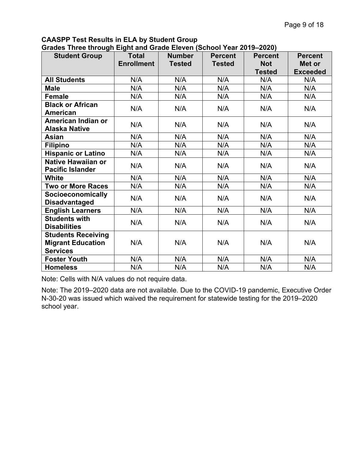## **CAASPP Test Results in ELA by Student Group**

| <b>Student Group</b>                                                     | <b>Total</b><br><b>Enrollment</b> | <b>Number</b><br><b>Tested</b> | <b>Percent</b><br><b>Tested</b> | <b>Percent</b><br><b>Not</b><br><b>Tested</b> | <b>Percent</b><br>Met or<br><b>Exceeded</b> |
|--------------------------------------------------------------------------|-----------------------------------|--------------------------------|---------------------------------|-----------------------------------------------|---------------------------------------------|
| <b>All Students</b>                                                      | N/A                               | N/A                            | N/A                             | N/A                                           | N/A                                         |
| <b>Male</b>                                                              | N/A                               | N/A                            | N/A                             | N/A                                           | N/A                                         |
| <b>Female</b>                                                            | N/A                               | N/A                            | N/A                             | N/A                                           | N/A                                         |
| <b>Black or African</b><br><b>American</b>                               | N/A                               | N/A                            | N/A                             | N/A                                           | N/A                                         |
| American Indian or<br><b>Alaska Native</b>                               | N/A                               | N/A                            | N/A                             | N/A                                           | N/A                                         |
| Asian                                                                    | N/A                               | N/A                            | N/A                             | N/A                                           | N/A                                         |
| <b>Filipino</b>                                                          | N/A                               | N/A                            | N/A                             | N/A                                           | N/A                                         |
| <b>Hispanic or Latino</b>                                                | N/A                               | N/A                            | N/A                             | N/A                                           | N/A                                         |
| <b>Native Hawaiian or</b><br><b>Pacific Islander</b>                     | N/A                               | N/A                            | N/A                             | N/A                                           | N/A                                         |
| <b>White</b>                                                             | N/A                               | N/A                            | N/A                             | N/A                                           | N/A                                         |
| <b>Two or More Races</b>                                                 | N/A                               | N/A                            | N/A                             | N/A                                           | N/A                                         |
| <b>Socioeconomically</b><br><b>Disadvantaged</b>                         | N/A                               | N/A                            | N/A                             | N/A                                           | N/A                                         |
| <b>English Learners</b>                                                  | N/A                               | N/A                            | N/A                             | N/A                                           | N/A                                         |
| <b>Students with</b><br><b>Disabilities</b>                              | N/A                               | N/A                            | N/A                             | N/A                                           | N/A                                         |
| <b>Students Receiving</b><br><b>Migrant Education</b><br><b>Services</b> | N/A                               | N/A                            | N/A                             | N/A                                           | N/A                                         |
| <b>Foster Youth</b>                                                      | N/A                               | N/A                            | N/A                             | N/A                                           | N/A                                         |
| <b>Homeless</b>                                                          | N/A                               | N/A                            | N/A                             | N/A                                           | N/A                                         |

Note: Cells with N/A values do not require data.

Note: The 2019–2020 data are not available. Due to the COVID-19 pandemic, Executive Order N-30-20 was issued which waived the requirement for statewide testing for the 2019–2020 school year.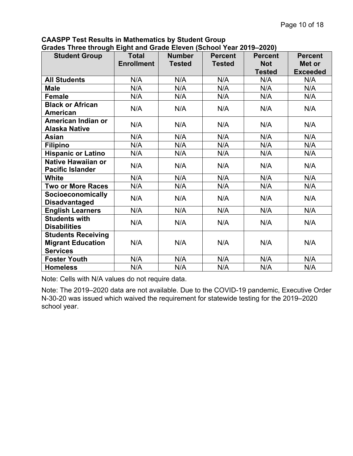| ---- <del>-</del> --<br><b>Student Group</b>                             | <b>Total</b><br><b>Enrollment</b> | <b>Number</b><br><b>Tested</b> | <b>Percent</b><br><b>Tested</b> | <b>Percent</b><br><b>Not</b><br><b>Tested</b> | <b>Percent</b><br>Met or<br><b>Exceeded</b> |
|--------------------------------------------------------------------------|-----------------------------------|--------------------------------|---------------------------------|-----------------------------------------------|---------------------------------------------|
| <b>All Students</b>                                                      | N/A                               | N/A                            | N/A                             | N/A                                           | N/A                                         |
| <b>Male</b>                                                              | N/A                               | N/A                            | N/A                             | N/A                                           | N/A                                         |
| Female                                                                   | N/A                               | N/A                            | N/A                             | N/A                                           | N/A                                         |
| <b>Black or African</b><br><b>American</b>                               | N/A                               | N/A                            | N/A                             | N/A                                           | N/A                                         |
| American Indian or<br><b>Alaska Native</b>                               | N/A                               | N/A                            | N/A                             | N/A                                           | N/A                                         |
| Asian                                                                    | N/A                               | N/A                            | N/A                             | N/A                                           | N/A                                         |
| <b>Filipino</b>                                                          | N/A                               | N/A                            | N/A                             | N/A                                           | N/A                                         |
| <b>Hispanic or Latino</b>                                                | N/A                               | N/A                            | N/A                             | N/A                                           | N/A                                         |
| <b>Native Hawaiian or</b><br><b>Pacific Islander</b>                     | N/A                               | N/A                            | N/A                             | N/A                                           | N/A                                         |
| <b>White</b>                                                             | N/A                               | N/A                            | N/A                             | N/A                                           | N/A                                         |
| <b>Two or More Races</b>                                                 | N/A                               | N/A                            | N/A                             | N/A                                           | N/A                                         |
| <b>Socioeconomically</b><br><b>Disadvantaged</b>                         | N/A                               | N/A                            | N/A                             | N/A                                           | N/A                                         |
| <b>English Learners</b>                                                  | N/A                               | N/A                            | N/A                             | N/A                                           | N/A                                         |
| <b>Students with</b><br><b>Disabilities</b>                              | N/A                               | N/A                            | N/A                             | N/A                                           | N/A                                         |
| <b>Students Receiving</b><br><b>Migrant Education</b><br><b>Services</b> | N/A                               | N/A                            | N/A                             | N/A                                           | N/A                                         |
| <b>Foster Youth</b>                                                      | N/A                               | N/A                            | N/A                             | N/A                                           | N/A                                         |
| <b>Homeless</b>                                                          | N/A                               | N/A                            | N/A                             | N/A                                           | N/A                                         |

**CAASPP Test Results in Mathematics by Student Group Grades Three through Eight and Grade Eleven (School Year 2019–2020)**

Note: Cells with N/A values do not require data.

Note: The 2019–2020 data are not available. Due to the COVID-19 pandemic, Executive Order N-30-20 was issued which waived the requirement for statewide testing for the 2019–2020 school year.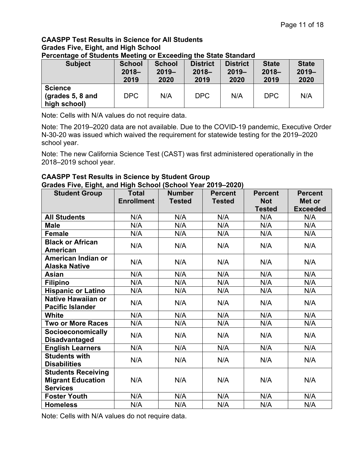#### **CAASPP Test Results in Science for All Students Grades Five, Eight, and High School Percentage of Students Meeting or Exceeding the State Standard**

| $\sim$ . The company of a contractive integrating to a contract a contraction of $\sim$<br><b>Subject</b> | <b>School</b><br>$2018 -$<br>2019 | <b>School</b><br>$2019 -$<br>2020 | <b>District</b><br>$2018 -$<br>2019 | <b>District</b><br>$2019 -$<br>2020 | <b>State</b><br>$2018 -$<br>2019 | <b>State</b><br>$2019 -$<br>2020 |
|-----------------------------------------------------------------------------------------------------------|-----------------------------------|-----------------------------------|-------------------------------------|-------------------------------------|----------------------------------|----------------------------------|
| <b>Science</b><br>(grades $5, 8$ and<br>high school)                                                      | <b>DPC</b>                        | N/A                               | <b>DPC</b>                          | N/A                                 | <b>DPC</b>                       | N/A                              |

Note: Cells with N/A values do not require data.

Note: The 2019–2020 data are not available. Due to the COVID-19 pandemic, Executive Order N-30-20 was issued which waived the requirement for statewide testing for the 2019–2020 school year.

Note: The new California Science Test (CAST) was first administered operationally in the 2018–2019 school year.

#### **CAASPP Test Results in Science by Student Group Grades Five, Eight, and High School (School Year 2019–2020)**

| <b>Student Group</b>                             | <b>Total</b>      | <b>Number</b> | <b>Percent</b> | <b>Percent</b> | <b>Percent</b>  |
|--------------------------------------------------|-------------------|---------------|----------------|----------------|-----------------|
|                                                  | <b>Enrollment</b> | <b>Tested</b> | <b>Tested</b>  | <b>Not</b>     | Met or          |
|                                                  |                   |               |                | <b>Tested</b>  | <b>Exceeded</b> |
| <b>All Students</b>                              | N/A               | N/A           | N/A            | N/A            | N/A             |
| <b>Male</b>                                      | N/A               | N/A           | N/A            | N/A            | N/A             |
| <b>Female</b>                                    | N/A               | N/A           | N/A            | N/A            | N/A             |
| <b>Black or African</b>                          | N/A               | N/A           | N/A            | N/A            | N/A             |
| <b>American</b>                                  |                   |               |                |                |                 |
| American Indian or                               | N/A               | N/A           | N/A            | N/A            | N/A             |
| <b>Alaska Native</b>                             |                   |               |                |                |                 |
| <b>Asian</b>                                     | N/A               | N/A           | N/A            | N/A            | N/A             |
| <b>Filipino</b>                                  | N/A               | N/A           | N/A            | N/A            | N/A             |
| <b>Hispanic or Latino</b>                        | N/A               | N/A           | N/A            | N/A            | N/A             |
| <b>Native Hawaiian or</b>                        | N/A               | N/A           | N/A            | N/A            | N/A             |
| <b>Pacific Islander</b>                          |                   |               |                |                |                 |
| <b>White</b>                                     | N/A               | N/A           | N/A            | N/A            | N/A             |
| <b>Two or More Races</b>                         | N/A               | N/A           | N/A            | N/A            | N/A             |
| <b>Socioeconomically</b><br><b>Disadvantaged</b> | N/A               | N/A           | N/A            | N/A            | N/A             |
| <b>English Learners</b>                          | N/A               | N/A           | N/A            | N/A            | N/A             |
| <b>Students with</b>                             | N/A               | N/A           | N/A            | N/A            | N/A             |
| <b>Disabilities</b>                              |                   |               |                |                |                 |
| <b>Students Receiving</b>                        |                   |               |                |                |                 |
| <b>Migrant Education</b>                         | N/A               | N/A           | N/A            | N/A            | N/A             |
| <b>Services</b>                                  |                   |               |                |                |                 |
| <b>Foster Youth</b>                              | N/A               | N/A           | N/A            | N/A            | N/A             |
| <b>Homeless</b>                                  | N/A               | N/A           | N/A            | N/A            | N/A             |

Note: Cells with N/A values do not require data.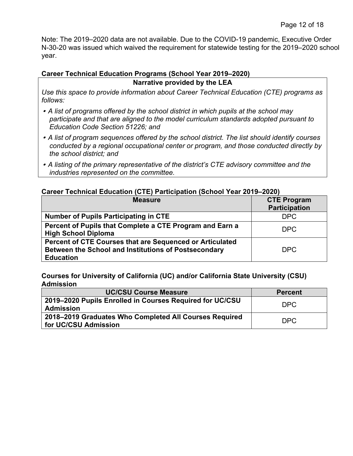Note: The 2019–2020 data are not available. Due to the COVID-19 pandemic, Executive Order N-30-20 was issued which waived the requirement for statewide testing for the 2019–2020 school year.

#### **Career Technical Education Programs (School Year 2019–2020)**

#### **Narrative provided by the LEA**

*Use this space to provide information about Career Technical Education (CTE) programs as follows:*

- *A list of programs offered by the school district in which pupils at the school may participate and that are aligned to the model curriculum standards adopted pursuant to Education Code Section 51226; and*
- *A list of program sequences offered by the school district. The list should identify courses conducted by a regional occupational center or program, and those conducted directly by the school district; and*
- *A listing of the primary representative of the district's CTE advisory committee and the industries represented on the committee.*

#### **Career Technical Education (CTE) Participation (School Year 2019–2020)**

| <b>Measure</b>                                                                                                                       | <b>CTE Program</b><br><b>Participation</b> |
|--------------------------------------------------------------------------------------------------------------------------------------|--------------------------------------------|
| <b>Number of Pupils Participating in CTE</b>                                                                                         | <b>DPC</b>                                 |
| Percent of Pupils that Complete a CTE Program and Earn a<br><b>High School Diploma</b>                                               | <b>DPC</b>                                 |
| Percent of CTE Courses that are Sequenced or Articulated<br>Between the School and Institutions of Postsecondary<br><b>Education</b> | DPC                                        |

**Courses for University of California (UC) and/or California State University (CSU) Admission**

| <b>UC/CSU Course Measure</b>                                                   | <b>Percent</b> |
|--------------------------------------------------------------------------------|----------------|
| 2019–2020 Pupils Enrolled in Courses Required for UC/CSU<br><b>Admission</b>   | DPC            |
| 2018–2019 Graduates Who Completed All Courses Required<br>for UC/CSU Admission | DPC            |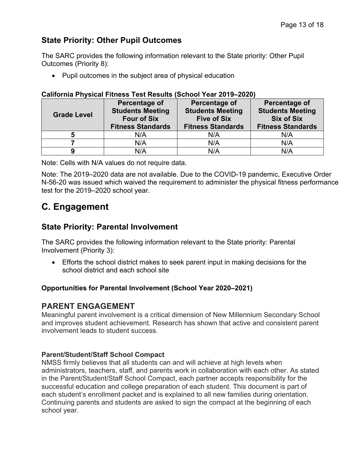## **State Priority: Other Pupil Outcomes**

The SARC provides the following information relevant to the State priority: Other Pupil Outcomes (Priority 8):

• Pupil outcomes in the subject area of physical education

#### **California Physical Fitness Test Results (School Year 2019–2020)**

| <b>Grade Level</b> | Percentage of<br><b>Students Meeting</b><br><b>Four of Six</b><br><b>Fitness Standards</b> | Percentage of<br><b>Students Meeting</b><br><b>Five of Six</b><br><b>Fitness Standards</b> | <b>Percentage of</b><br><b>Students Meeting</b><br><b>Six of Six</b><br><b>Fitness Standards</b> |
|--------------------|--------------------------------------------------------------------------------------------|--------------------------------------------------------------------------------------------|--------------------------------------------------------------------------------------------------|
| 5                  | N/A                                                                                        | N/A                                                                                        | N/A                                                                                              |
|                    | N/A                                                                                        | N/A                                                                                        | N/A                                                                                              |
|                    | N/A                                                                                        | N/A                                                                                        | N/A                                                                                              |

Note: Cells with N/A values do not require data.

Note: The 2019–2020 data are not available. Due to the COVID-19 pandemic, Executive Order N-56-20 was issued which waived the requirement to administer the physical fitness performance test for the 2019–2020 school year.

## **C. Engagement**

## **State Priority: Parental Involvement**

The SARC provides the following information relevant to the State priority: Parental Involvement (Priority 3):

• Efforts the school district makes to seek parent input in making decisions for the school district and each school site

### **Opportunities for Parental Involvement (School Year 2020–2021)**

## **PARENT ENGAGEMENT**

Meaningful parent involvement is a critical dimension of New Millennium Secondary School and improves student achievement. Research has shown that active and consistent parent involvement leads to student success.

### **Parent/Student/Staff School Compact**

NMSS firmly believes that all students can and will achieve at high levels when administrators, teachers, staff, and parents work in collaboration with each other. As stated in the Parent/Student/Staff School Compact, each partner accepts responsibility for the successful education and college preparation of each student. This document is part of each student's enrollment packet and is explained to all new families during orientation. Continuing parents and students are asked to sign the compact at the beginning of each school year.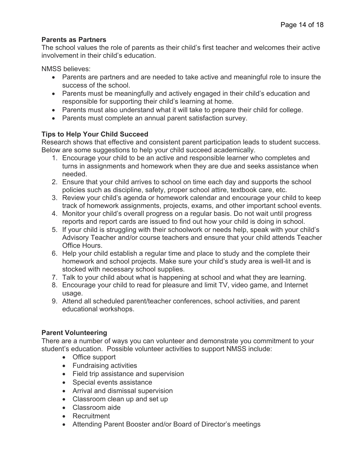#### **Parents as Partners**

The school values the role of parents as their child's first teacher and welcomes their active involvement in their child's education.

NMSS believes:

- Parents are partners and are needed to take active and meaningful role to insure the success of the school.
- Parents must be meaningfully and actively engaged in their child's education and responsible for supporting their child's learning at home.
- Parents must also understand what it will take to prepare their child for college.
- Parents must complete an annual parent satisfaction survey.

### **Tips to Help Your Child Succeed**

Research shows that effective and consistent parent participation leads to student success. Below are some suggestions to help your child succeed academically.

- 1. Encourage your child to be an active and responsible learner who completes and turns in assignments and homework when they are due and seeks assistance when needed.
- 2. Ensure that your child arrives to school on time each day and supports the school policies such as discipline, safety, proper school attire, textbook care, etc.
- 3. Review your child's agenda or homework calendar and encourage your child to keep track of homework assignments, projects, exams, and other important school events.
- 4. Monitor your child's overall progress on a regular basis. Do not wait until progress reports and report cards are issued to find out how your child is doing in school.
- 5. If your child is struggling with their schoolwork or needs help, speak with your child's Advisory Teacher and/or course teachers and ensure that your child attends Teacher Office Hours.
- 6. Help your child establish a regular time and place to study and the complete their homework and school projects. Make sure your child's study area is well-lit and is stocked with necessary school supplies.
- 7. Talk to your child about what is happening at school and what they are learning.
- 8. Encourage your child to read for pleasure and limit TV, video game, and Internet usage.
- 9. Attend all scheduled parent/teacher conferences, school activities, and parent educational workshops.

### **Parent Volunteering**

There are a number of ways you can volunteer and demonstrate you commitment to your student's education. Possible volunteer activities to support NMSS include:

- Office support
- Fundraising activities
- Field trip assistance and supervision
- Special events assistance
- Arrival and dismissal supervision
- Classroom clean up and set up
- Classroom aide
- Recruitment
- Attending Parent Booster and/or Board of Director's meetings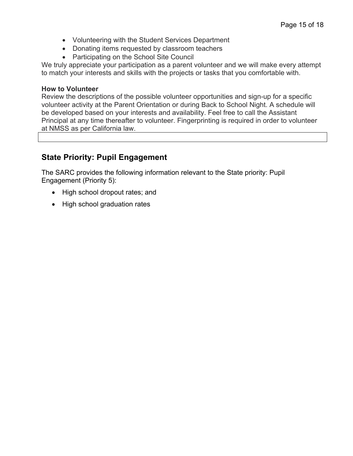- Volunteering with the Student Services Department
- Donating items requested by classroom teachers
- Participating on the School Site Council

We truly appreciate your participation as a parent volunteer and we will make every attempt to match your interests and skills with the projects or tasks that you comfortable with.

#### **How to Volunteer**

Review the descriptions of the possible volunteer opportunities and sign-up for a specific volunteer activity at the Parent Orientation or during Back to School Night. A schedule will be developed based on your interests and availability. Feel free to call the Assistant Principal at any time thereafter to volunteer. Fingerprinting is required in order to volunteer at NMSS as per California law.

## **State Priority: Pupil Engagement**

The SARC provides the following information relevant to the State priority: Pupil Engagement (Priority 5):

- High school dropout rates; and
- High school graduation rates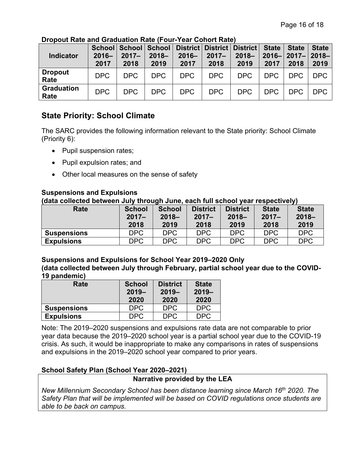| <b>Indicator</b>          | $2016 -$<br>2017 | $2017 -$<br>2018 | $2018 -$<br>2019 | School   School   School   District   District   District   State  <br>$2016 -$<br>2017 | $2017 -$<br>2018 | $2018 -$<br>2019 | 2017       | <b>State</b><br>2016-2017-2018-<br>2018 | <b>State</b><br>2019 |
|---------------------------|------------------|------------------|------------------|-----------------------------------------------------------------------------------------|------------------|------------------|------------|-----------------------------------------|----------------------|
| <b>Dropout</b><br>Rate    | DPC              | DPC              | DPC              | DPC                                                                                     | DPC              | DPC              | <b>DPC</b> | DPC                                     | DPC                  |
| <b>Graduation</b><br>Rate | <b>DPC</b>       | <b>DPC</b>       | DPC              | DPC                                                                                     | DPC              | DPC              | <b>DPC</b> | <b>DPC</b>                              | DPC                  |

**Dropout Rate and Graduation Rate (Four-Year Cohort Rate)**

## **State Priority: School Climate**

The SARC provides the following information relevant to the State priority: School Climate (Priority 6):

- Pupil suspension rates;
- Pupil expulsion rates; and
- Other local measures on the sense of safety

## **Suspensions and Expulsions**

**(data collected between July through June, each full school year respectively)**

| Rate               | <b>School</b><br>$2017 -$ | <b>School</b><br>$2018 -$ | <b>District</b><br>$2017 -$ | <b>District</b><br>$2018 -$ | <b>State</b><br>$2017 -$ | <b>State</b><br>$2018 -$ |
|--------------------|---------------------------|---------------------------|-----------------------------|-----------------------------|--------------------------|--------------------------|
|                    | 2018                      | 2019                      | 2018                        | 2019                        | 2018                     | 2019                     |
| <b>Suspensions</b> | <b>DPC</b>                | <b>DPC</b>                | <b>DPC</b>                  | <b>DPC</b>                  | <b>DPC</b>               | <b>DPC</b>               |
| <b>Expulsions</b>  | <b>DPC</b>                | DPC                       | <b>DPC</b>                  | <b>DPC</b>                  | <b>DPC</b>               | <b>DPC</b>               |

**Suspensions and Expulsions for School Year 2019–2020 Only**

**(data collected between July through February, partial school year due to the COVID-19 pandemic)**

| Rate               | <b>School</b><br>$2019 -$<br>2020 | <b>District</b><br>$2019 -$<br>2020 | <b>State</b><br>$2019 -$<br>2020 |
|--------------------|-----------------------------------|-------------------------------------|----------------------------------|
| <b>Suspensions</b> | <b>DPC</b>                        | <b>DPC</b>                          | <b>DPC</b>                       |
| <b>Expulsions</b>  | DPC                               | DPC.                                | DPC.                             |

Note: The 2019–2020 suspensions and expulsions rate data are not comparable to prior year data because the 2019–2020 school year is a partial school year due to the COVID-19 crisis. As such, it would be inappropriate to make any comparisons in rates of suspensions and expulsions in the 2019–2020 school year compared to prior years.

## **School Safety Plan (School Year 2020–2021)**

#### **Narrative provided by the LEA**

*New Millennium Secondary School has been distance learning since March 16th 2020. The Safety Plan that will be implemented will be based on COVID regulations once students are able to be back on campus.*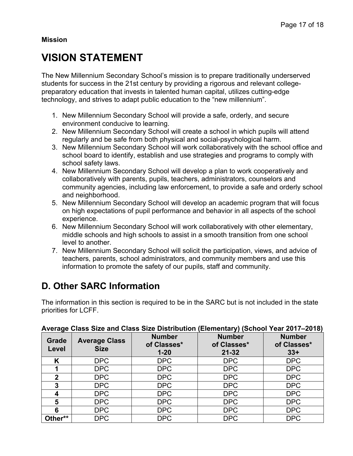**Mission** 

## **VISION STATEMENT**

The New Millennium Secondary School's mission is to prepare traditionally underserved students for success in the 21st century by providing a rigorous and relevant collegepreparatory education that invests in talented human capital, utilizes cutting-edge technology, and strives to adapt public education to the "new millennium".

- 1. New Millennium Secondary School will provide a safe, orderly, and secure environment conducive to learning.
- 2. New Millennium Secondary School will create a school in which pupils will attend regularly and be safe from both physical and social-psychological harm.
- 3. New Millennium Secondary School will work collaboratively with the school office and school board to identify, establish and use strategies and programs to comply with school safety laws.
- 4. New Millennium Secondary School will develop a plan to work cooperatively and collaboratively with parents, pupils, teachers, administrators, counselors and community agencies, including law enforcement, to provide a safe and orderly school and neighborhood.
- 5. New Millennium Secondary School will develop an academic program that will focus on high expectations of pupil performance and behavior in all aspects of the school experience.
- 6. New Millennium Secondary School will work collaboratively with other elementary, middle schools and high schools to assist in a smooth transition from one school level to another.
- 7. New Millennium Secondary School will solicit the participation, views, and advice of teachers, parents, school administrators, and community members and use this information to promote the safety of our pupils, staff and community.

## **D. Other SARC Information**

The information in this section is required to be in the SARC but is not included in the state priorities for LCFF.

|                |                                     | $1.101$ ago where the time where the storm well to | $(20.0011011001)$ (90.1001 1001 20.11)    |                                       |  |  |
|----------------|-------------------------------------|----------------------------------------------------|-------------------------------------------|---------------------------------------|--|--|
| Grade<br>Level | <b>Average Class</b><br><b>Size</b> | <b>Number</b><br>of Classes*<br>$1 - 20$           | <b>Number</b><br>of Classes*<br>$21 - 32$ | <b>Number</b><br>of Classes*<br>$33+$ |  |  |
| K              | DPC                                 | <b>DPC</b>                                         | <b>DPC</b>                                | <b>DPC</b>                            |  |  |
|                | <b>DPC</b>                          | <b>DPC</b>                                         | <b>DPC</b>                                | <b>DPC</b>                            |  |  |
| $\overline{2}$ | <b>DPC</b>                          | <b>DPC</b>                                         | <b>DPC</b>                                | <b>DPC</b>                            |  |  |
| 3              | DPC                                 | <b>DPC</b>                                         | <b>DPC</b>                                | <b>DPC</b>                            |  |  |
|                | <b>DPC</b>                          | <b>DPC</b>                                         | <b>DPC</b>                                | <b>DPC</b>                            |  |  |
| 5              | <b>DPC</b>                          | <b>DPC</b>                                         | <b>DPC</b>                                | <b>DPC</b>                            |  |  |
| 6              | DPC                                 | <b>DPC</b>                                         | <b>DPC</b>                                | <b>DPC</b>                            |  |  |
| Other**        | <b>DPC</b>                          | <b>DPC</b>                                         | <b>DPC</b>                                | <b>DPC</b>                            |  |  |

#### **Average Class Size and Class Size Distribution (Elementary) (School Year 2017–2018)**